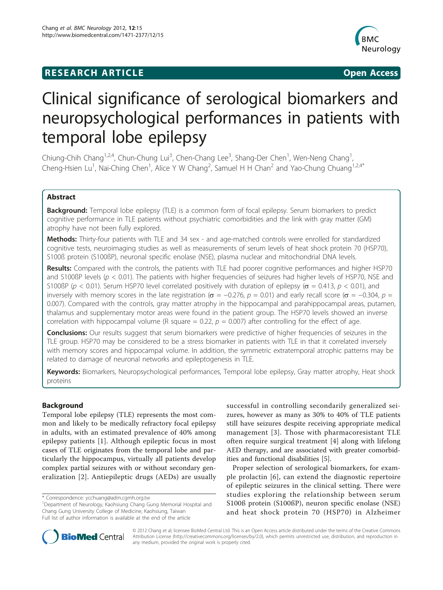# **RESEARCH ARTICLE Example 2018 Open Access**



# Clinical significance of serological biomarkers and neuropsychological performances in patients with temporal lobe epilepsy

Chiung-Chih Chang<sup>1,2,4</sup>, Chun-Chung Lui<sup>3</sup>, Chen-Chang Lee<sup>3</sup>, Shang-Der Chen<sup>1</sup>, Wen-Neng Chang<sup>1</sup> , Cheng-Hsien Lu<sup>1</sup>, Nai-Ching Chen<sup>1</sup>, Alice Y W Chang<sup>2</sup>, Samuel H H Chan<sup>2</sup> and Yao-Chung Chuang<sup>1,2,4\*</sup>

## Abstract

**Background:** Temporal lobe epilepsy (TLE) is a common form of focal epilepsy. Serum biomarkers to predict cognitive performance in TLE patients without psychiatric comorbidities and the link with gray matter (GM) atrophy have not been fully explored.

Methods: Thirty-four patients with TLE and 34 sex - and age-matched controls were enrolled for standardized cognitive tests, neuroimaging studies as well as measurements of serum levels of heat shock protein 70 (HSP70), S100ß protein (S100ßP), neuronal specific enolase (NSE), plasma nuclear and mitochondrial DNA levels.

Results: Compared with the controls, the patients with TLE had poorer cognitive performances and higher HSP70 and S100 $\beta$ P levels ( $p < 0.01$ ). The patients with higher frequencies of seizures had higher levels of HSP70, NSE and S100ßP ( $p < 0.01$ ). Serum HSP70 level correlated positively with duration of epilepsy ( $\sigma = 0.413$ ,  $p < 0.01$ ), and inversely with memory scores in the late registration ( $\sigma$  = -0.276, p = 0.01) and early recall score ( $\sigma$  = -0.304, p = 0.007). Compared with the controls, gray matter atrophy in the hippocampal and parahippocampal areas, putamen, thalamus and supplementary motor areas were found in the patient group. The HSP70 levels showed an inverse correlation with hippocampal volume (R square = 0.22,  $p = 0.007$ ) after controlling for the effect of age.

**Conclusions:** Our results suggest that serum biomarkers were predictive of higher frequencies of seizures in the TLE group. HSP70 may be considered to be a stress biomarker in patients with TLE in that it correlated inversely with memory scores and hippocampal volume. In addition, the symmetric extratemporal atrophic patterns may be related to damage of neuronal networks and epileptogenesis in TLE.

Keywords: Biomarkers, Neuropsychological performances, Temporal lobe epilepsy, Gray matter atrophy, Heat shock proteins

## Background

Temporal lobe epilepsy (TLE) represents the most common and likely to be medically refractory focal epilepsy in adults, with an estimated prevalence of 40% among epilepsy patients [[1\]](#page-8-0). Although epileptic focus in most cases of TLE originates from the temporal lobe and particularly the hippocampus, virtually all patients develop complex partial seizures with or without secondary generalization [[2\]](#page-8-0). Antiepileptic drugs (AEDs) are usually

successful in controlling secondarily generalized seizures, however as many as 30% to 40% of TLE patients still have seizures despite receiving appropriate medical management [[3](#page-8-0)]. Those with pharmacoresistant TLE often require surgical treatment [\[4](#page-8-0)] along with lifelong AED therapy, and are associated with greater comorbidities and functional disabilities [[5](#page-8-0)].

Proper selection of serological biomarkers, for example prolactin [[6\]](#page-9-0), can extend the diagnostic repertoire of epileptic seizures in the clinical setting. There were studies exploring the relationship between serum S100ß protein (S100ßP), neuron specific enolase (NSE) and heat shock protein 70 (HSP70) in Alzheimer



© 2012 Chang et al; licensee BioMed Central Ltd. This is an Open Access article distributed under the terms of the Creative Commons Attribution License [\(http://creativecommons.org/licenses/by/2.0](http://creativecommons.org/licenses/by/2.0)), which permits unrestricted use, distribution, and reproduction in any medium, provided the original work is properly cited.

<sup>\*</sup> Correspondence: [ycchuang@adm.cgmh.org.tw](mailto:ycchuang@adm.cgmh.org.tw)

<sup>&</sup>lt;sup>1</sup>Department of Neurology, Kaohsiung Chang Gung Memorial Hospital and Chang Gung University College of Medicine, Kaohsiung, Taiwan Full list of author information is available at the end of the article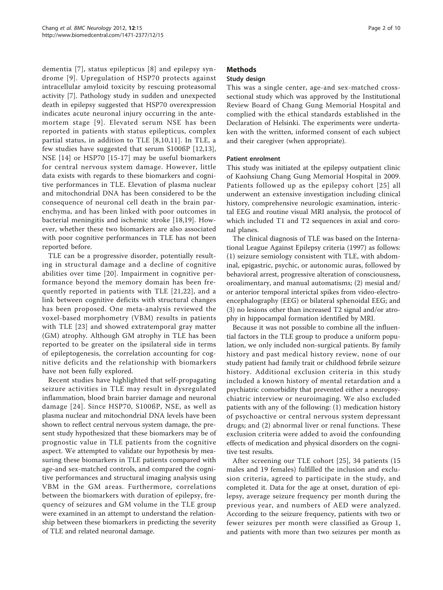dementia [[7](#page-9-0)], status epilepticus [[8](#page-9-0)] and epilepsy syndrome [[9](#page-9-0)]. Upregulation of HSP70 protects against intracellular amyloid toxicity by rescuing proteasomal activity [[7\]](#page-9-0). Pathology study in sudden and unexpected death in epilepsy suggested that HSP70 overexpression indicates acute neuronal injury occurring in the antemortem stage [[9\]](#page-9-0). Elevated serum NSE has been reported in patients with status epilepticus, complex partial status, in addition to TLE [[8,10,11](#page-9-0)]. In TLE, a few studies have suggested that serum S100ßP [[12,13](#page-9-0)], NSE [[14](#page-9-0)] or HSP70 [[15](#page-9-0)-[17](#page-9-0)] may be useful biomarkers for central nervous system damage. However, little data exists with regards to these biomarkers and cognitive performances in TLE. Elevation of plasma nuclear and mitochondrial DNA has been considered to be the consequence of neuronal cell death in the brain parenchyma, and has been linked with poor outcomes in bacterial meningitis and ischemic stroke [[18,19](#page-9-0)]. However, whether these two biomarkers are also associated with poor cognitive performances in TLE has not been reported before.

TLE can be a progressive disorder, potentially resulting in structural damage and a decline of cognitive abilities over time [[20](#page-9-0)]. Impairment in cognitive performance beyond the memory domain has been frequently reported in patients with TLE [\[21,22\]](#page-9-0), and a link between cognitive deficits with structural changes has been proposed. One meta-analysis reviewed the voxel-based morphometry (VBM) results in patients with TLE [\[23\]](#page-9-0) and showed extratemporal gray matter (GM) atrophy. Although GM atrophy in TLE has been reported to be greater on the ipsilateral side in terms of epileptogenesis, the correlation accounting for cognitive deficits and the relationship with biomarkers have not been fully explored.

Recent studies have highlighted that self-propagating seizure activities in TLE may result in dysregulated inflammation, blood brain barrier damage and neuronal damage [[24\]](#page-9-0). Since HSP70, S100ßP, NSE, as well as plasma nuclear and mitochondrial DNA levels have been shown to reflect central nervous system damage, the present study hypothesized that these biomarkers may be of prognostic value in TLE patients from the cognitive aspect. We attempted to validate our hypothesis by measuring these biomarkers in TLE patients compared with age-and sex-matched controls, and compared the cognitive performances and structural imaging analysis using VBM in the GM areas. Furthermore, correlations between the biomarkers with duration of epilepsy, frequency of seizures and GM volume in the TLE group were examined in an attempt to understand the relationship between these biomarkers in predicting the severity of TLE and related neuronal damage.

## Methods

## Study design

This was a single center, age-and sex-matched crosssectional study which was approved by the Institutional Review Board of Chang Gung Memorial Hospital and complied with the ethical standards established in the Declaration of Helsinki. The experiments were undertaken with the written, informed consent of each subject and their caregiver (when appropriate).

## Patient enrolment

This study was initiated at the epilepsy outpatient clinic of Kaohsiung Chang Gung Memorial Hospital in 2009. Patients followed up as the epilepsy cohort [[25\]](#page-9-0) all underwent an extensive investigation including clinical history, comprehensive neurologic examination, interictal EEG and routine visual MRI analysis, the protocol of which included T1 and T2 sequences in axial and coronal planes.

The clinical diagnosis of TLE was based on the International League Against Epilepsy criteria (1997) as follows: (1) seizure semiology consistent with TLE, with abdominal, epigastric, psychic, or autonomic auras, followed by behavioral arrest, progressive alteration of consciousness, oroalimentary, and manual automatisms; (2) mesial and/ or anterior temporal interictal spikes from video-electroencephalography (EEG) or bilateral sphenoidal EEG; and (3) no lesions other than increased T2 signal and/or atrophy in hippocampal formation identified by MRI.

Because it was not possible to combine all the influential factors in the TLE group to produce a uniform population, we only included non-surgical patients. By family history and past medical history review, none of our study patient had family trait or childhood febrile seizure history. Additional exclusion criteria in this study included a known history of mental retardation and a psychiatric comorbidity that prevented either a neuropsychiatric interview or neuroimaging. We also excluded patients with any of the following: (1) medication history of psychoactive or central nervous system depressant drugs; and (2) abnormal liver or renal functions. These exclusion criteria were added to avoid the confounding effects of medication and physical disorders on the cognitive test results.

After screening our TLE cohort [[25\]](#page-9-0), 34 patients (15 males and 19 females) fulfilled the inclusion and exclusion criteria, agreed to participate in the study, and completed it. Data for the age at onset, duration of epilepsy, average seizure frequency per month during the previous year, and numbers of AED were analyzed. According to the seizure frequency, patients with two or fewer seizures per month were classified as Group 1, and patients with more than two seizures per month as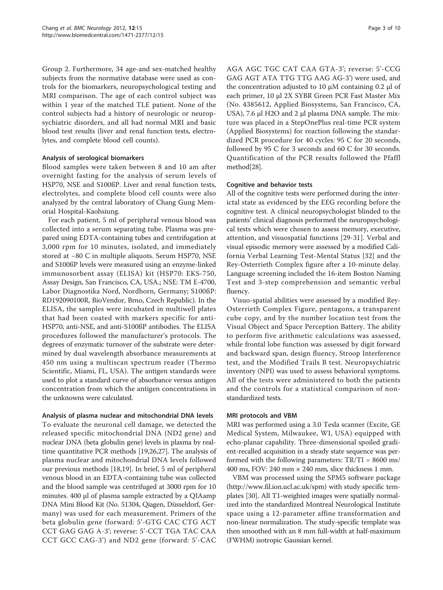Group 2. Furthermore, 34 age-and sex-matched healthy subjects from the normative database were used as controls for the biomarkers, neuropsychological testing and MRI comparison. The age of each control subject was within 1 year of the matched TLE patient. None of the control subjects had a history of neurologic or neuropsychiatric disorders, and all had normal MRI and basic blood test results (liver and renal function tests, electrolytes, and complete blood cell counts).

#### Analysis of serological biomarkers

Blood samples were taken between 8 and 10 am after overnight fasting for the analysis of serum levels of HSP70, NSE and S100ßP. Liver and renal function tests, electrolytes, and complete blood cell counts were also analyzed by the central laboratory of Chang Gung Memorial Hospital-Kaohsiung.

For each patient, 5 ml of peripheral venous blood was collected into a serum separating tube. Plasma was prepared using EDTA-containing tubes and centrifugation at 3,000 rpm for 10 minutes, isolated, and immediately stored at −80 C in multiple aliquots. Serum HSP70, NSE and S100ßP levels were measured using an enzyme-linked immunosorbent assay (ELISA) kit (HSP70: EKS-750, Assay Design, San Francisco, CA, USA.; NSE: TM E-4700, Labor Diagnostika Nord, Nordhorn, Germany; S100ßP: RD192090100R, BioVendor, Brno, Czech Republic). In the ELISA, the samples were incubated in multiwell plates that had been coated with markers specific for anti-HSP70, anti-NSE, and anti-S100ßP antibodies. The ELISA procedures followed the manufacturer's protocols. The degrees of enzymatic turnover of the substrate were determined by dual wavelength absorbance measurements at 450 nm using a multiscan spectrum reader (Thermo Scientific, Miami, FL, USA). The antigen standards were used to plot a standard curve of absorbance versus antigen concentration from which the antigen concentrations in the unknowns were calculated.

#### Analysis of plasma nuclear and mitochondrial DNA levels

To evaluate the neuronal cell damage, we detected the released specific mitochondrial DNA (ND2 gene) and nuclear DNA (beta globulin gene) levels in plasma by realtime quantitative PCR methods [\[19,26,27](#page-9-0)]. The analysis of plasma nuclear and mitochondrial DNA levels followed our previous methods [\[18,19\]](#page-9-0). In brief, 5 ml of peripheral venous blood in an EDTA-containing tube was collected and the blood sample was centrifuged at 3000 rpm for 10 minutes. 400 µl of plasma sample extracted by a QIAamp DNA Mini Blood Kit (No. 51304, Qiagen, Düsseldorf, Germany) was used for each measurement. Primers of the beta globulin gene (forward: 5'-GTG CAC CTG ACT CCT GAG GAG A-3'; reverse: 5'-CCT TGA TAC CAA CCT GCC CAG-3') and ND2 gene (forward: 5'-CAC AGA AGC TGC CAT CAA GTA-3'; reverse: 5'-CCG GAG AGT ATA TTG TTG AAG AG-3') were used, and the concentration adjusted to 10  $\mu$ M containing 0.2  $\mu$ l of each primer, 10 µl 2X SYBR Green PCR Fast Master Mix (No. 4385612, Applied Biosystems, San Francisco, CA, USA), 7.6 µl H2O and 2 µl plasma DNA sample. The mixture was placed in a StepOnePlus real-time PCR system (Applied Biosystems) for reaction following the standardized PCR procedure for 40 cycles: 95 C for 20 seconds, followed by 95 C for 3 seconds and 60 C for 30 seconds. Quantification of the PCR results followed the Pfaffl method[\[28\]](#page-9-0).

#### Cognitive and behavior tests

All of the cognitive tests were performed during the interictal state as evidenced by the EEG recording before the cognitive test. A clinical neuropsychologist blinded to the patients' clinical diagnosis performed the neuropsychological tests which were chosen to assess memory, executive, attention, and visuospatial functions [\[29](#page-9-0)-[31\]](#page-9-0). Verbal and visual episodic memory were assessed by a modified California Verbal Learning Test-Mental Status [[32\]](#page-9-0) and the Rey-Osterrieth Complex figure after a 10-minute delay. Language screening included the 16-item Boston Naming Test and 3-step comprehension and semantic verbal fluency.

Visuo-spatial abilities were assessed by a modified Rey-Osterrieth Complex Figure, pentagons, a transparent cube copy, and by the number location test from the Visual Object and Space Perception Battery. The ability to perform five arithmetic calculations was assessed, while frontal lobe function was assessed by digit forward and backward span, design fluency, Stroop Interference test, and the Modified Trails B test. Neuropsychiatric inventory (NPI) was used to assess behavioral symptoms. All of the tests were administered to both the patients and the controls for a statistical comparison of nonstandardized tests.

#### MRI protocols and VBM

MRI was performed using a 3.0 Tesla scanner (Excite, GE Medical System, Milwaukee, WI, USA) equipped with echo-planar capability. Three-dimensional spoiled gradient-recalled acquisition in a steady state sequence was performed with the following parameters:  $TR/TI = 8600$  ms/ 400 ms, FOV: 240 mm × 240 mm, slice thickness 1 mm.

VBM was processed using the SPM5 software package (<http://www.fil.ion.ucl.ac.uk/spm>) with study specific templates [[30](#page-9-0)]. All T1-weighted images were spatially normalized into the standardized Montreal Neurological Institute space using a 12-parameter affine transformation and non-linear normalization. The study-specific template was then smoothed with an 8 mm full-width at half-maximum (FWHM) isotropic Gaussian kernel.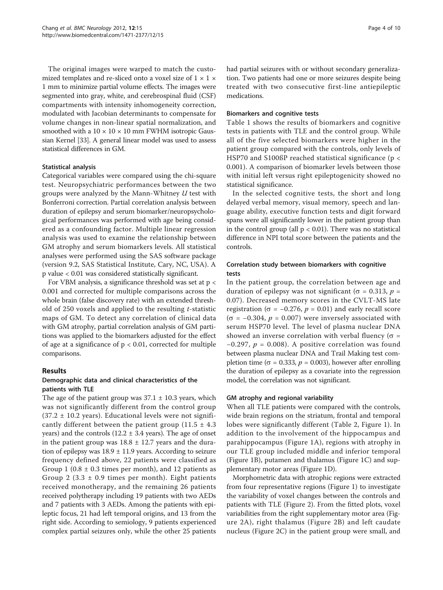The original images were warped to match the customized templates and re-sliced onto a voxel size of  $1 \times 1 \times$ 1 mm to minimize partial volume effects. The images were segmented into gray, white, and cerebrospinal fluid (CSF) compartments with intensity inhomogeneity correction, modulated with Jacobian determinants to compensate for volume changes in non-linear spatial normalization, and smoothed with a  $10 \times 10 \times 10$  mm FWHM isotropic Gaussian Kernel [\[33\]](#page-9-0). A general linear model was used to assess statistical differences in GM.

#### Statistical analysis

Categorical variables were compared using the chi-square test. Neuropsychiatric performances between the two groups were analyzed by the Mann-Whitney U test with Bonferroni correction. Partial correlation analysis between duration of epilepsy and serum biomarker/neuropsychological performances was performed with age being considered as a confounding factor. Multiple linear regression analysis was used to examine the relationship between GM atrophy and serum biomarkers levels. All statistical analyses were performed using the SAS software package (version 9.2, SAS Statistical Institute, Cary, NC, USA). A p value < 0.01 was considered statistically significant.

For VBM analysis, a significance threshold was set at p < 0.001 and corrected for multiple comparisons across the whole brain (false discovery rate) with an extended threshold of 250 voxels and applied to the resulting  $t$ -statistic maps of GM. To detect any correlation of clinical data with GM atrophy, partial correlation analysis of GM partitions was applied to the biomarkers adjusted for the effect of age at a significance of  $p < 0.01$ , corrected for multiple comparisons.

## Results

## Demographic data and clinical characteristics of the patients with TLE

The age of the patient group was  $37.1 \pm 10.3$  years, which was not significantly different from the control group  $(37.2 \pm 10.2 \text{ years})$ . Educational levels were not significantly different between the patient group  $(11.5 \pm 4.3)$ years) and the controls  $(12.2 \pm 3.4 \text{ years})$ . The age of onset in the patient group was  $18.8 \pm 12.7$  years and the duration of epilepsy was  $18.9 \pm 11.9$  years. According to seizure frequency defined above, 22 patients were classified as Group 1 ( $0.8 \pm 0.3$  times per month), and 12 patients as Group 2 (3.3  $\pm$  0.9 times per month). Eight patients received monotherapy, and the remaining 26 patients received polytherapy including 19 patients with two AEDs and 7 patients with 3 AEDs. Among the patients with epileptic focus, 21 had left temporal origins, and 13 from the right side. According to semiology, 9 patients experienced complex partial seizures only, while the other 25 patients had partial seizures with or without secondary generalization. Two patients had one or more seizures despite being treated with two consecutive first-line antiepileptic medications.

#### Biomarkers and cognitive tests

Table [1](#page-4-0) shows the results of biomarkers and cognitive tests in patients with TLE and the control group. While all of the five selected biomarkers were higher in the patient group compared with the controls, only levels of HSP70 and S100ßP reached statistical significance (p < 0.001). A comparison of biomarker levels between those with initial left versus right epileptogenicity showed no statistical significance.

In the selected cognitive tests, the short and long delayed verbal memory, visual memory, speech and language ability, executive function tests and digit forward spans were all significantly lower in the patient group than in the control group (all  $p < 0.01$ ). There was no statistical difference in NPI total score between the patients and the controls.

## Correlation study between biomarkers with cognitive tests

In the patient group, the correlation between age and duration of epilepsy was not significant ( $\sigma$  = 0.313,  $p$  = 0.07). Decreased memory scores in the CVLT-MS late registration ( $\sigma$  = -0.276,  $p$  = 0.01) and early recall score  $(σ = -0.304, p = 0.007)$  were inversely associated with serum HSP70 level. The level of plasma nuclear DNA showed an inverse correlation with verbal fluency ( $\sigma$  =  $-0.297$ ,  $p = 0.008$ ). A positive correlation was found between plasma nuclear DNA and Trail Making test completion time ( $\sigma$  = 0.333,  $p$  = 0.003), however after enrolling the duration of epilepsy as a covariate into the regression model, the correlation was not significant.

#### GM atrophy and regional variability

When all TLE patients were compared with the controls, wide brain regions on the striatum, frontal and temporal lobes were significantly different (Table [2,](#page-5-0) Figure [1](#page-6-0)). In addition to the involvement of the hippocampus and parahippocampus (Figure [1A\)](#page-6-0), regions with atrophy in our TLE group included middle and inferior temporal (Figure [1B\)](#page-6-0), putamen and thalamus (Figure [1C\)](#page-6-0) and supplementary motor areas (Figure [1D\)](#page-6-0).

Morphometric data with atrophic regions were extracted from four representative regions (Figure [1\)](#page-6-0) to investigate the variability of voxel changes between the controls and patients with TLE (Figure [2](#page-7-0)). From the fitted plots, voxel variabilities from the right supplementary motor area (Figure [2A](#page-7-0)), right thalamus (Figure [2B](#page-7-0)) and left caudate nucleus (Figure [2C\)](#page-7-0) in the patient group were small, and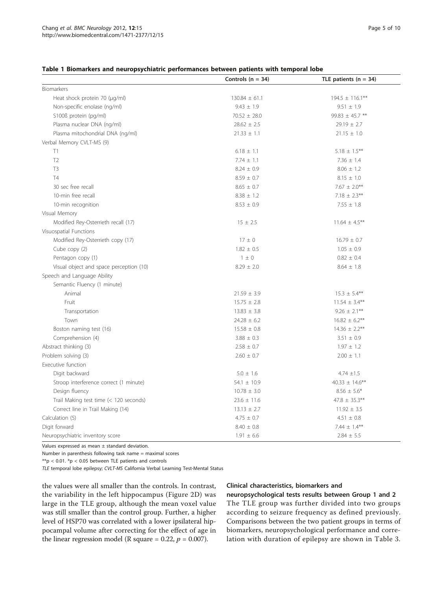<span id="page-4-0"></span>

|                                         | Controls ( $n = 34$ ) | TLE patients $(n = 34)$ |
|-----------------------------------------|-----------------------|-------------------------|
| Biomarkers                              |                       |                         |
| Heat shock protein 70 (µg/ml)           | $130.84 \pm 61.1$     | $194.5 \pm 116.1***$    |
| Non-specific enolase (ng/ml)            | $9.43 \pm 1.9$        | $9.51 \pm 1.9$          |
| S100ß protein (pg/ml)                   | $70.52 \pm 28.0$      | 99.83 $\pm$ 45.7 **     |
| Plasma nuclear DNA (ng/ml)              | $28.62 \pm 2.5$       | $29.19 \pm 2.7$         |
| Plasma mitochondrial DNA (ng/ml)        | $21.33 \pm 1.1$       | $21.15 \pm 1.0$         |
| Verbal Memory CVLT-MS (9)               |                       |                         |
| T1                                      | $6.18 \pm 1.1$        | $5.18 \pm 1.5***$       |
| T <sub>2</sub>                          | $7.74 \pm 1.1$        | $7.36 \pm 1.4$          |
| T3                                      | $8.24 \pm 0.9$        | $8.06 \pm 1.2$          |
| T4                                      | $8.59 \pm 0.7$        | $8.15 \pm 1.0$          |
| 30 sec free recall                      | $8.65 \pm 0.7$        | $7.67 \pm 2.0***$       |
| 10-min free recall                      | $8.38 \pm 1.2$        | $7.18 \pm 2.3***$       |
| 10-min recognition                      | $8.53 \pm 0.9$        | $7.55 \pm 1.8$          |
| Visual Memory                           |                       |                         |
| Modified Rey-Osterrieth recall (17)     | $15 \pm 2.5$          | $11.64 \pm 4.5***$      |
| Visuospatial Functions                  |                       |                         |
| Modified Rey-Osterrieth copy (17)       | $17 \pm 0$            | $16.79 \pm 0.7$         |
| Cube copy (2)                           | $1.82 \pm 0.5$        | $1.05 \pm 0.9$          |
| Pentagon copy (1)                       | $1 \pm 0$             | $0.82 \pm 0.4$          |
| Visual object and space perception (10) | $8.29 \pm 2.0$        | $8.64 \pm 1.8$          |
| Speech and Language Ability             |                       |                         |
| Semantic Fluency (1 minute)             |                       |                         |
| Animal                                  | $21.59 \pm 3.9$       | $15.3 \pm 5.4***$       |
| Fruit                                   | $15.75 \pm 2.8$       | $11.54 \pm 3.4***$      |
| Transportation                          | $13.83 \pm 3.8$       | $9.26 \pm 2.1***$       |
| Town                                    | $24.28 \pm 6.2$       | $16.82 \pm 6.2$ **      |
| Boston naming test (16)                 | $15.58 \pm 0.8$       | $14.36 \pm 2.2$ **      |
| Comprehension (4)                       | $3.88 \pm 0.3$        | $3.51 \pm 0.9$          |
| Abstract thinking (3)                   | $2.58 \pm 0.7$        | $1.97 \pm 1.2$          |
| Problem solving (3)                     | $2.60 \pm 0.7$        | $2.00 \pm 1.1$          |
| Executive function                      |                       |                         |
| Digit backward                          | $5.0 \pm 1.6$         | $4.74 \pm 1.5$          |
| Stroop interference correct (1 minute)  | $54.1 \pm 10.9$       | $40.33 \pm 14.6$ **     |
| Design fluency                          | $10.78 \pm 3.0$       | $8.56 \pm 5.6*$         |
| Trail Making test time (< 120 seconds)  | $23.6 \pm 11.6$       | $47.8 \pm 35.3$ **      |
| Correct line in Trail Making (14)       | $13.13 \pm 2.7$       | $11.92 \pm 3.5$         |
| Calculation (5)                         | $4.75 \pm 0.7$        | $4.51 \pm 0.8$          |
| Digit forward                           | $8.40 \pm 0.8$        | 7.44 $\pm$ 1.4**        |
| Neuropsychiatric inventory score        | $1.91 \pm 6.6$        | $2.84 \pm 5.5$          |

Values expressed as mean ± standard deviation.

Number in parenthesis following task name = maximal scores

 $**p < 0.01$ . \*p < 0.05 between TLE patients and controls

TLE temporal lobe epilepsy; CVLT-MS California Verbal Learning Test-Mental Status

the values were all smaller than the controls. In contrast, the variability in the left hippocampus (Figure [2D\)](#page-7-0) was large in the TLE group, although the mean voxel value was still smaller than the control group. Further, a higher level of HSP70 was correlated with a lower ipsilateral hippocampal volume after correcting for the effect of age in the linear regression model (R square =  $0.22$ ,  $p = 0.007$ ).

#### Clinical characteristics, biomarkers and

neuropsychological tests results between Group 1 and 2 The TLE group was further divided into two groups according to seizure frequency as defined previously. Comparisons between the two patient groups in terms of biomarkers, neuropsychological performance and correlation with duration of epilepsy are shown in Table [3](#page-7-0).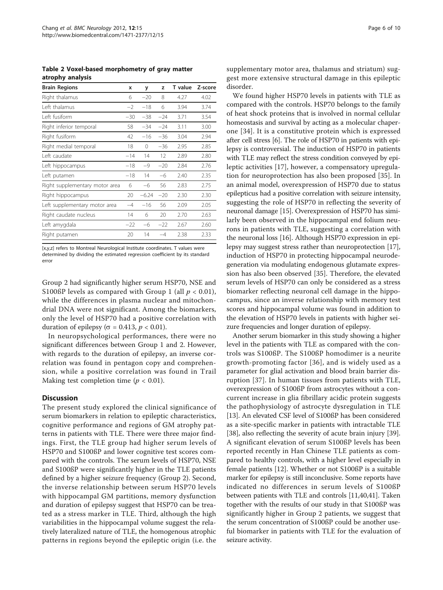<span id="page-5-0"></span>Table 2 Voxel-based morphometry of gray matter atrophy analysis

| <b>Brain Regions</b>           | x     | y        | z     | T value | Z-score |
|--------------------------------|-------|----------|-------|---------|---------|
| Right thalamus                 | 6     | $-20$    | 8     | 4.27    | 4.02    |
| I eft thalamus                 | $-2$  | $-18$    | 6     | 3.94    | 3.74    |
| I eft fusiform                 | $-30$ | $-38$    | $-24$ | 3.71    | 3.54    |
| Right inferior temporal        | 58    | $-34$    | $-24$ | 3.11    | 3.00    |
| Right fusiform                 | 42    | $-16$    | $-36$ | 3.04    | 2.94    |
| Right medial temporal          | 18    | $\Omega$ | $-36$ | 2.95    | 2.85    |
| Left caudate                   | $-14$ | 14       | 12    | 2.89    | 2.80    |
| Left hippocampus               | $-18$ | $-9$     | $-20$ | 2.84    | 2.76    |
| Left putamen                   | $-18$ | 14       | $-6$  | 2.40    | 2.35    |
| Right supplementary motor area | 6     | $-6$     | 56    | 2.83    | 2.75    |
| Right hippocampus              | 20    | $-6.24$  | $-20$ | 2.30    | 2.30    |
| Left supplementary motor area  | $-4$  | $-16$    | 56    | 2.09    | 2.05    |
| Right caudate nucleus          | 14    | 6        | 20    | 2.70    | 2.63    |
| Left amygdala                  | $-22$ | $-6$     | $-22$ | 2.67    | 2.60    |
| Right putamen                  | 20    | 14       | $-4$  | 2.38    | 2.33    |
|                                |       |          |       |         |         |

[x,y,z] refers to Montreal Neurological Institute coordinates. T values were determined by dividing the estimated regression coefficient by its standard error

Group 2 had significantly higher serum HSP70, NSE and S100ßP levels as compared with Group 1 (all  $p < 0.01$ ), while the differences in plasma nuclear and mitochondrial DNA were not significant. Among the biomarkers, only the level of HSP70 had a positive correlation with duration of epilepsy ( $\sigma$  = 0.413,  $p$  < 0.01).

In neuropsychological performances, there were no significant differences between Group 1 and 2. However, with regards to the duration of epilepsy, an inverse correlation was found in pentagon copy and comprehension, while a positive correlation was found in Trail Making test completion time ( $p < 0.01$ ).

## **Discussion**

The present study explored the clinical significance of serum biomarkers in relation to epileptic characteristics, cognitive performance and regions of GM atrophy patterns in patients with TLE. There were three major findings. First, the TLE group had higher serum levels of HSP70 and S100ßP and lower cognitive test scores compared with the controls. The serum levels of HSP70, NSE and S100ßP were significantly higher in the TLE patients defined by a higher seizure frequency (Group 2). Second, the inverse relationship between serum HSP70 levels with hippocampal GM partitions, memory dysfunction and duration of epilepsy suggest that HSP70 can be treated as a stress marker in TLE. Third, although the high variabilities in the hippocampal volume suggest the relatively lateralized nature of TLE, the homogenous atrophic patterns in regions beyond the epileptic origin (i.e. the supplementary motor area, thalamus and striatum) suggest more extensive structural damage in this epileptic disorder.

We found higher HSP70 levels in patients with TLE as compared with the controls. HSP70 belongs to the family of heat shock proteins that is involved in normal cellular homeostasis and survival by acting as a molecular chaperone [[34\]](#page-9-0). It is a constitutive protein which is expressed after cell stress [\[6\]](#page-9-0). The role of HSP70 in patients with epilepsy is controversial. The induction of HSP70 in patients with TLE may reflect the stress condition conveyed by epileptic activities [[17\]](#page-9-0), however, a compensatory upregulation for neuroprotection has also been proposed [[35](#page-9-0)]. In an animal model, overexpression of HSP70 due to status epilepticus had a positive correlation with seizure intensity, suggesting the role of HSP70 in reflecting the severity of neuronal damage [\[15](#page-9-0)]. Overexpression of HSP70 has similarly been observed in the hippocampal end folium neurons in patients with TLE, suggesting a correlation with the neuronal loss [\[16\]](#page-9-0). Although HSP70 expression in epilepsy may suggest stress rather than neuroprotection [[17](#page-9-0)], induction of HSP70 in protecting hippocampal neurodegeneration via modulating endogenous glutamate expression has also been observed [\[35](#page-9-0)]. Therefore, the elevated serum levels of HSP70 can only be considered as a stress biomarker reflecting neuronal cell damage in the hippocampus, since an inverse relationship with memory test scores and hippocampal volume was found in addition to the elevation of HSP70 levels in patients with higher seizure frequencies and longer duration of epilepsy.

Another serum biomarker in this study showing a higher level in the patients with TLE as compared with the controls was S100ßP. The S100ßP homodimer is a neurite growth-promoting factor [[36](#page-9-0)], and is widely used as a parameter for glial activation and blood brain barrier disruption [[37\]](#page-9-0). In human tissues from patients with TLE, overexpression of S100ßP from astrocytes without a concurrent increase in glia fibrillary acidic protein suggests the pathophysiology of astrocyte dysregulation in TLE [[13](#page-9-0)]. An elevated CSF level of S100ßP has been considered as a site-specific marker in patients with intractable TLE [[38\]](#page-9-0), also reflecting the severity of acute brain injury [[39](#page-9-0)]. A significant elevation of serum S100ßP levels has been reported recently in Han Chinese TLE patients as compared to healthy controls, with a higher level especially in female patients [\[12](#page-9-0)]. Whether or not S100ßP is a suitable marker for epilepsy is still inconclusive. Some reports have indicated no differences in serum levels of S100ßP between patients with TLE and controls [\[11,40](#page-9-0),[41](#page-9-0)]. Taken together with the results of our study in that S100ßP was significantly higher in Group 2 patients, we suggest that the serum concentration of S100ßP could be another useful biomarker in patients with TLE for the evaluation of seizure activity.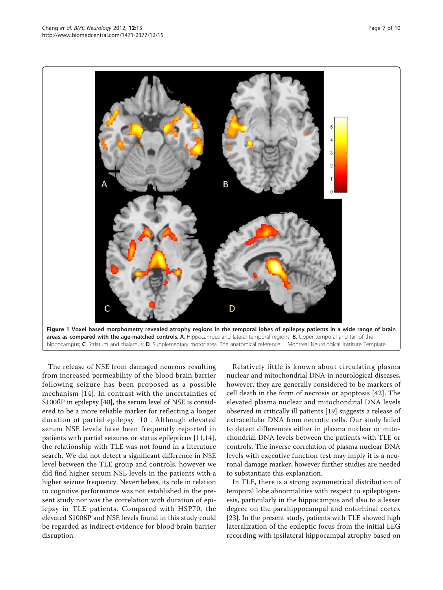The release of NSE from damaged neurons resulting from increased permeability of the blood brain barrier following seizure has been proposed as a possible mechanism [[14](#page-9-0)]. In contrast with the uncertainties of S100ßP in epilepsy [[40](#page-9-0)], the serum level of NSE is considered to be a more reliable marker for reflecting a longer duration of partial epilepsy [[10\]](#page-9-0). Although elevated serum NSE levels have been frequently reported in patients with partial seizures or status epilepticus [\[11,14](#page-9-0)], the relationship with TLE was not found in a literature search. We did not detect a significant difference in NSE level between the TLE group and controls, however we did find higher serum NSE levels in the patients with a higher seizure frequency. Nevertheless, its role in relation to cognitive performance was not established in the present study nor was the correlation with duration of epilepsy in TLE patients. Compared with HSP70, the elevated S100ßP and NSE levels found in this study could be regarded as indirect evidence for blood brain barrier disruption.

Relatively little is known about circulating plasma nuclear and mitochondrial DNA in neurological diseases, however, they are generally considered to be markers of cell death in the form of necrosis or apoptosis [[42\]](#page-9-0). The elevated plasma nuclear and mitochondrial DNA levels observed in critically ill patients [[19\]](#page-9-0) suggests a release of extracellular DNA from necrotic cells. Our study failed to detect differences either in plasma nuclear or mitochondrial DNA levels between the patients with TLE or controls. The inverse correlation of plasma nuclear DNA levels with executive function test may imply it is a neuronal damage marker, however further studies are needed to substantiate this explanation.

In TLE, there is a strong asymmetrical distribution of temporal lobe abnormalities with respect to epileptogenesis, particularly in the hippocampus and also to a lesser degree on the parahippocampal and entorhinal cortex [[23\]](#page-9-0). In the present study, patients with TLE showed high lateralization of the epileptic focus from the initial EEG recording with ipsilateral hippocampal atrophy based on

<span id="page-6-0"></span>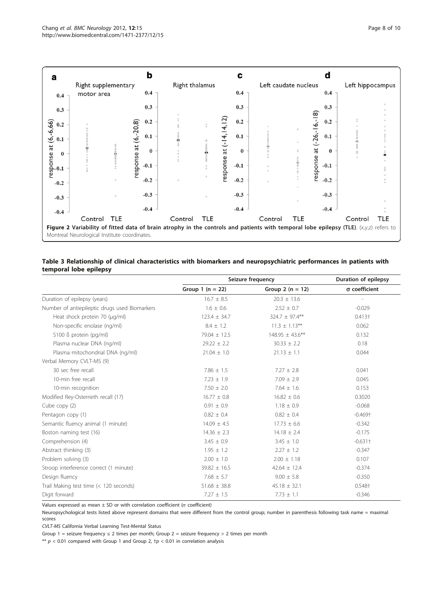<span id="page-7-0"></span>

#### Table 3 Relationship of clinical characteristics with biomarkers and neuropsychiatric performances in patients with temporal lobe epilepsy

|                                               | Seizure frequency | Duration of epilepsy |                          |
|-----------------------------------------------|-------------------|----------------------|--------------------------|
|                                               | Group $1(n = 22)$ | Group 2 ( $n = 12$ ) | $\sigma$ coefficient     |
| Duration of epilepsy (years)                  | $16.7 \pm 8.5$    | $20.3 \pm 13.6$      | $\overline{\phantom{a}}$ |
| Number of antiepileptic drugs used Biomarkers | $1.6 \pm 0.6$     | $2.52 \pm 0.7$       | $-0.029$                 |
| Heat shock protein 70 (µg/ml)                 | $123.4 \pm 34.7$  | 324.7 ± 97.4**       | $0.413 +$                |
| Non-specific enolase (ng/ml)                  | $8.4 \pm 1.2$     | $11.3 \pm 1.13***$   | 0.062                    |
| S100 ß protein (pg/ml)                        | $79.04 \pm 12.5$  | $148.95 \pm 43.6***$ | 0.132                    |
| Plasma nuclear DNA (ng/ml)                    | $29.22 \pm 2.2$   | $30.33 \pm 2.2$      | 0.18                     |
| Plasma mitochondrial DNA (ng/ml)              | $21.04 \pm 1.0$   | $21.13 \pm 1.1$      | 0.044                    |
| Verbal Memory CVLT-MS (9)                     |                   |                      |                          |
| 30 sec free recall                            | $7.86 \pm 1.5$    | $7.27 \pm 2.8$       | 0.041                    |
| 10-min free recall                            | $7.23 \pm 1.9$    | $7.09 \pm 2.9$       | 0.045                    |
| 10-min recognition                            | $7.50 \pm 2.0$    | $7.64 \pm 1.6$       | 0.153                    |
| Modified Rey-Osterrieth recall (17)           | $16.77 \pm 0.8$   | $16.82 \pm 0.6$      | 0.3020                   |
| Cube copy (2)                                 | $0.91 \pm 0.9$    | $1.18 \pm 0.9$       | $-0.068$                 |
| Pentagon copy (1)                             | $0.82 \pm 0.4$    | $0.82 \pm 0.4$       | $-0.469$ <sup>+</sup>    |
| Semantic fluency animal (1 minute)            | $14.09 \pm 4.5$   | $17.73 \pm 6.6$      | $-0.342$                 |
| Boston naming test (16)                       | $14.36 \pm 2.3$   | $14.18 \pm 2.4$      | $-0.175$                 |
| Comprehension (4)                             | $3.45 \pm 0.9$    | $3.45 \pm 1.0$       | $-0.631$ <sup>+</sup>    |
| Abstract thinking (3)                         | $1.95 \pm 1.2$    | $2.27 \pm 1.2$       | $-0.347$                 |
| Problem solving (3)                           | $2.00 \pm 1.0$    | $2.00 \pm 1.18$      | 0.107                    |
| Stroop interference correct (1 minute)        | $39.82 \pm 16.5$  | $42.64 \pm 12.4$     | $-0.374$                 |
| Design fluency                                | $7.68 \pm 5.7$    | $9.00 \pm 5.8$       | $-0.350$                 |
| Trail Making test time (< 120 seconds)        | $51.68 \pm 38.8$  | $45.18 \pm 32.1$     | 0.548+                   |
| Digit forward                                 | $7.27 \pm 1.5$    | $7.73 \pm 1.1$       | $-0.346$                 |

Values expressed as mean  $\pm$  SD or with correlation coefficient ( $\sigma$  coefficient)

Neuropsychological tests listed above represent domains that were different from the control group; number in parenthesis following task name = maximal scores

CVLT-MS California Verbal Learning Test-Mental Status

Group 1 = seizure frequency  $\leq 2$  times per month; Group 2 = seizure frequency > 2 times per month

\*\*  $p$  < 0.01 compared with Group 1 and Group 2,  $\uparrow p$  < 0.01 in correlation analysis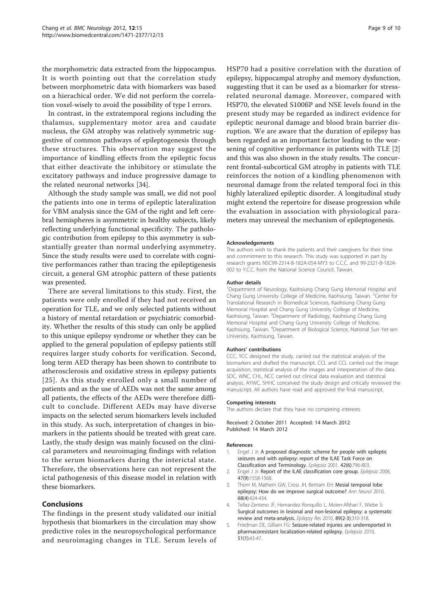<span id="page-8-0"></span>the morphometric data extracted from the hippocampus. It is worth pointing out that the correlation study between morphometric data with biomarkers was based on a hierachical order. We did not perform the correlation voxel-wisely to avoid the possibility of type I errors.

In contrast, in the extratemporal regions including the thalamus, supplementary motor area and caudate nucleus, the GM atrophy was relatively symmetric suggestive of common pathways of epileptogenesis through these structures. This observation may suggest the importance of kindling effects from the epileptic focus that either deactivate the inhibitory or stimulate the excitatory pathways and induce progressive damage to the related neuronal networks [[34](#page-9-0)].

Although the study sample was small, we did not pool the patients into one in terms of epileptic lateralization for VBM analysis since the GM of the right and left cerebral hemispheres is asymmetric in healthy subjects, likely reflecting underlying functional specificity. The pathologic contribution from epilepsy to this asymmetry is substantially greater than normal underlying asymmetry. Since the study results were used to correlate with cognitive performances rather than tracing the epileptigenesis circuit, a general GM atrophic pattern of these patients was presented.

There are several limitations to this study. First, the patients were only enrolled if they had not received an operation for TLE, and we only selected patients without a history of mental retardation or psychiatric comorbidity. Whether the results of this study can only be applied to this unique epilepsy syndrome or whether they can be applied to the general population of epilepsy patients still requires larger study cohorts for verification. Second, long term AED therapy has been shown to contribute to atherosclerosis and oxidative stress in epilepsy patients [[25](#page-9-0)]. As this study enrolled only a small number of patients and as the use of AEDs was not the same among all patients, the effects of the AEDs were therefore difficult to conclude. Different AEDs may have diverse impacts on the selected serum biomarkers levels included in this study. As such, interpretation of changes in biomarkers in the patients should be treated with great care. Lastly, the study design was mainly focused on the clinical parameters and neuroimaging findings with relation to the serum biomarkers during the interictal state. Therefore, the observations here can not represent the ictal pathogenesis of this disease model in relation with these biomarkers.

## Conclusions

The findings in the present study validated our initial hypothesis that biomarkers in the circulation may show predictive roles in the neuropsychological performance and neuroimaging changes in TLE. Serum levels of HSP70 had a positive correlation with the duration of epilepsy, hippocampal atrophy and memory dysfunction, suggesting that it can be used as a biomarker for stressrelated neuronal damage. Moreover, compared with HSP70, the elevated S100ßP and NSE levels found in the present study may be regarded as indirect evidence for epileptic neuronal damage and blood brain barrier disruption. We are aware that the duration of epilepsy has been regarded as an important factor leading to the worsening of cognitive performance in patients with TLE [2] and this was also shown in the study results. The concurrent frontal-subcortical GM atrophy in patients with TLE reinforces the notion of a kindling phenomenon with neuronal damage from the related temporal foci in this highly lateralized epileptic disorder. A longitudinal study might extend the repertoire for disease progression while the evaluation in association with physiological parameters may unreveal the mechanism of epileptogenesis.

#### Acknowledgements

The authors wish to thank the patients and their caregivers for their time and commitment to this research. This study was supported in part by research grants NSC99-2314-B-182A-054-MY3 to C.C.C. and 99-2321-B-182A-002 to Y.C.C. from the National Science Council, Taiwan.

#### Author details

<sup>1</sup>Department of Neurology, Kaohsiung Chang Gung Memorial Hospital and Chang Gung University College of Medicine, Kaohsiung, Taiwan. <sup>2</sup>Center for Translational Research in Biomedical Sciences, Kaohsiung Chang Gung Memorial Hospital and Chang Gung University College of Medicine, Kaohsiung, Taiwan. <sup>3</sup>Department of Radiology, Kaohsiung Chang Gung Memorial Hospital and Chang Gung University College of Medicine, Kaohsiung, Taiwan. <sup>4</sup>Department of Biological Science, National Sun Yet-sen University, Kaohsiung, Taiwan.

#### Authors' contributions

CCC, YCC designed the study, carried out the statistical analysis of the biomarkers and drafted the manuscript. CCL and CCL carried out the image acquisition, statistical analysis of the images and interpretation of the data. SDC, WNC, CHL, NCC carried out clinical data evaluation and statistical analysis. AYWC, SHHC conceived the study design and critically reviewed the manuscript. All authors have read and approved the final manuscript.

#### Competing interests

The authors declare that they have no competing interests

Received: 2 October 2011 Accepted: 14 March 2012 Published: 14 March 2012

#### References

- Engel J Jr: [A proposed diagnostic scheme for people with epileptic](http://www.ncbi.nlm.nih.gov/pubmed/11422340?dopt=Abstract) [seizures and with epilepsy: report of the ILAE Task Force on](http://www.ncbi.nlm.nih.gov/pubmed/11422340?dopt=Abstract) [Classification and Terminology.](http://www.ncbi.nlm.nih.gov/pubmed/11422340?dopt=Abstract) Epilepsia 2001, 42(6):796-803.
- 2. Engel J Jr: [Report of the ILAE classification core group.](http://www.ncbi.nlm.nih.gov/pubmed/16981873?dopt=Abstract) Epilepsia 2006, 47(9):1558-1568.
- 3. Thom M, Mathern GW, Cross JH, Bertram EH: [Mesial temporal lobe](http://www.ncbi.nlm.nih.gov/pubmed/20976764?dopt=Abstract) [epilepsy: How do we improve surgical outcome?](http://www.ncbi.nlm.nih.gov/pubmed/20976764?dopt=Abstract) Ann Neurol 2010, 68(4):424-434.
- 4. Tellez-Zenteno JF, Hernandez Ronquillo L, Moien-Afshari F, Wiebe S: [Surgical outcomes in lesional and non-lesional epilepsy: a systematic](http://www.ncbi.nlm.nih.gov/pubmed/20227852?dopt=Abstract) [review and meta-analysis.](http://www.ncbi.nlm.nih.gov/pubmed/20227852?dopt=Abstract) Epilepsy Res 2010, 89(2-3):310-318.
- 5. Friedman DE, Gilliam FG: [Seizure-related injuries are underreported in](http://www.ncbi.nlm.nih.gov/pubmed/20618399?dopt=Abstract) [pharmacoresistant localization-related epilepsy.](http://www.ncbi.nlm.nih.gov/pubmed/20618399?dopt=Abstract) Epilepsia 2010, 51(1):43-47.